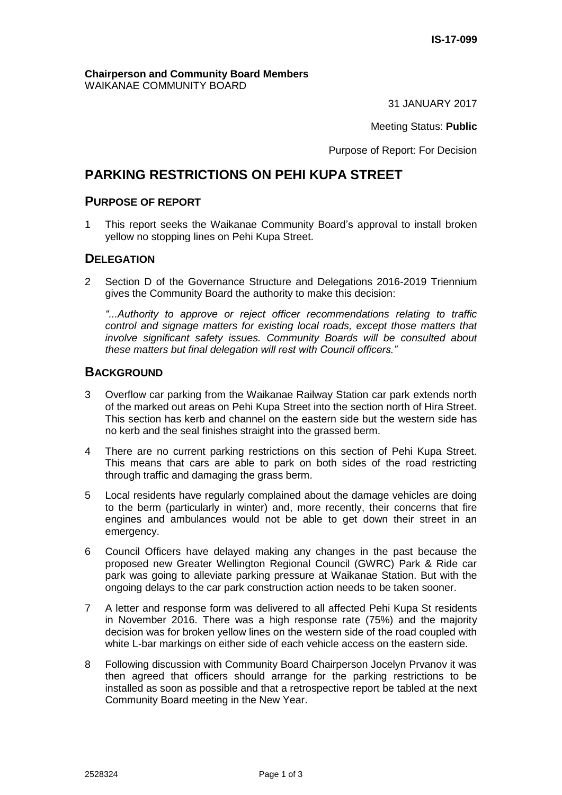#### **Chairperson and Community Board Members** WAIKANAE COMMUNITY BOARD

31 JANUARY 2017

Meeting Status: **Public**

Purpose of Report: For Decision

# **PARKING RESTRICTIONS ON PEHI KUPA STREET**

### **PURPOSE OF REPORT**

1 This report seeks the Waikanae Community Board's approval to install broken yellow no stopping lines on Pehi Kupa Street.

### **DELEGATION**

2 Section D of the Governance Structure and Delegations 2016-2019 Triennium gives the Community Board the authority to make this decision:

*"...Authority to approve or reject officer recommendations relating to traffic control and signage matters for existing local roads, except those matters that involve significant safety issues. Community Boards will be consulted about these matters but final delegation will rest with Council officers."*

### **BACKGROUND**

- 3 Overflow car parking from the Waikanae Railway Station car park extends north of the marked out areas on Pehi Kupa Street into the section north of Hira Street. This section has kerb and channel on the eastern side but the western side has no kerb and the seal finishes straight into the grassed berm.
- 4 There are no current parking restrictions on this section of Pehi Kupa Street. This means that cars are able to park on both sides of the road restricting through traffic and damaging the grass berm.
- 5 Local residents have regularly complained about the damage vehicles are doing to the berm (particularly in winter) and, more recently, their concerns that fire engines and ambulances would not be able to get down their street in an emergency.
- 6 Council Officers have delayed making any changes in the past because the proposed new Greater Wellington Regional Council (GWRC) Park & Ride car park was going to alleviate parking pressure at Waikanae Station. But with the ongoing delays to the car park construction action needs to be taken sooner.
- 7 A letter and response form was delivered to all affected Pehi Kupa St residents in November 2016. There was a high response rate (75%) and the majority decision was for broken yellow lines on the western side of the road coupled with white L-bar markings on either side of each vehicle access on the eastern side.
- 8 Following discussion with Community Board Chairperson Jocelyn Prvanov it was then agreed that officers should arrange for the parking restrictions to be installed as soon as possible and that a retrospective report be tabled at the next Community Board meeting in the New Year.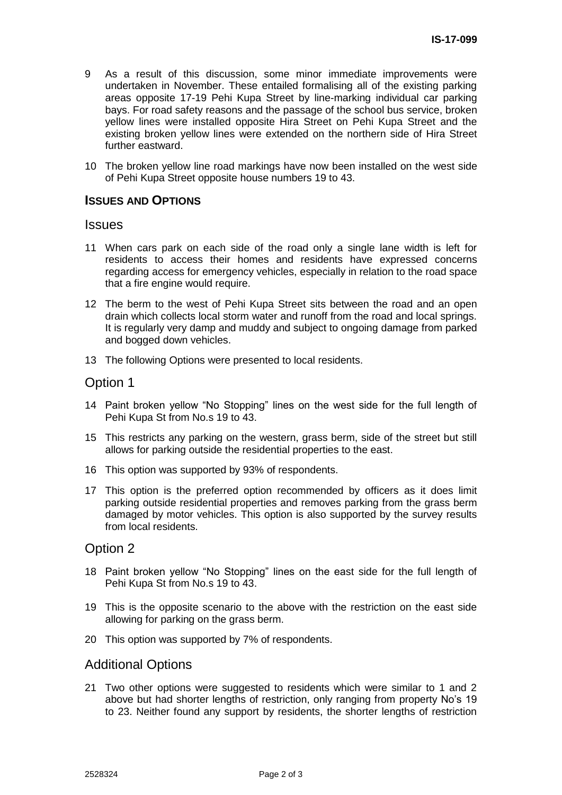- 9 As a result of this discussion, some minor immediate improvements were undertaken in November. These entailed formalising all of the existing parking areas opposite 17-19 Pehi Kupa Street by line-marking individual car parking bays. For road safety reasons and the passage of the school bus service, broken yellow lines were installed opposite Hira Street on Pehi Kupa Street and the existing broken yellow lines were extended on the northern side of Hira Street further eastward.
- 10 The broken yellow line road markings have now been installed on the west side of Pehi Kupa Street opposite house numbers 19 to 43.

### **ISSUES AND OPTIONS**

#### **Issues**

- 11 When cars park on each side of the road only a single lane width is left for residents to access their homes and residents have expressed concerns regarding access for emergency vehicles, especially in relation to the road space that a fire engine would require.
- 12 The berm to the west of Pehi Kupa Street sits between the road and an open drain which collects local storm water and runoff from the road and local springs. It is regularly very damp and muddy and subject to ongoing damage from parked and bogged down vehicles.
- 13 The following Options were presented to local residents.

### Option 1

- 14 Paint broken yellow "No Stopping" lines on the west side for the full length of Pehi Kupa St from No.s 19 to 43.
- 15 This restricts any parking on the western, grass berm, side of the street but still allows for parking outside the residential properties to the east.
- 16 This option was supported by 93% of respondents.
- 17 This option is the preferred option recommended by officers as it does limit parking outside residential properties and removes parking from the grass berm damaged by motor vehicles. This option is also supported by the survey results from local residents.

### Option 2

- 18 Paint broken yellow "No Stopping" lines on the east side for the full length of Pehi Kupa St from No.s 19 to 43.
- 19 This is the opposite scenario to the above with the restriction on the east side allowing for parking on the grass berm.
- 20 This option was supported by 7% of respondents.

### Additional Options

21 Two other options were suggested to residents which were similar to 1 and 2 above but had shorter lengths of restriction, only ranging from property No's 19 to 23. Neither found any support by residents, the shorter lengths of restriction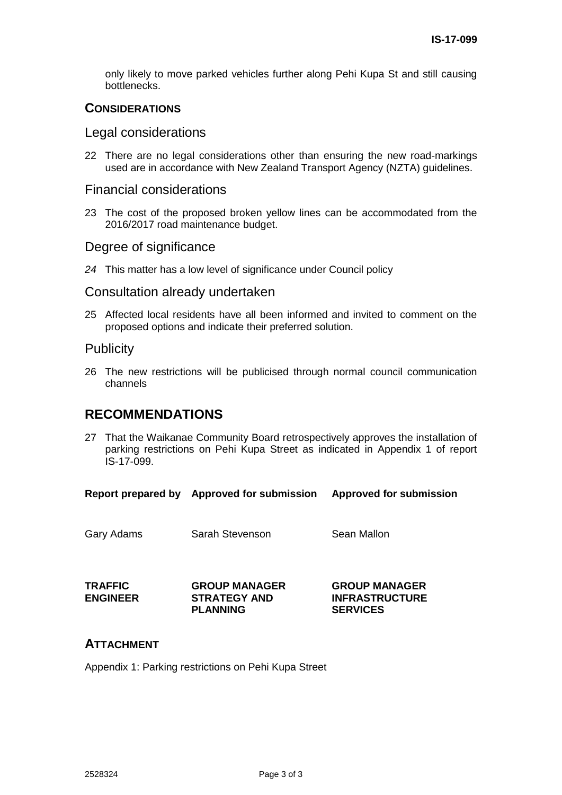only likely to move parked vehicles further along Pehi Kupa St and still causing bottlenecks.

## **CONSIDERATIONS**

### Legal considerations

22 There are no legal considerations other than ensuring the new road-markings used are in accordance with New Zealand Transport Agency (NZTA) guidelines.

### Financial considerations

23 The cost of the proposed broken yellow lines can be accommodated from the 2016/2017 road maintenance budget.

### Degree of significance

*24* This matter has a low level of significance under Council policy

### Consultation already undertaken

25 Affected local residents have all been informed and invited to comment on the proposed options and indicate their preferred solution.

### **Publicity**

26 The new restrictions will be publicised through normal council communication channels

## **RECOMMENDATIONS**

27 That the Waikanae Community Board retrospectively approves the installation of parking restrictions on Pehi Kupa Street as indicated in Appendix 1 of report IS-17-099.

**Report prepared by Approved for submission Approved for submission**

Gary Adams Sarah Stevenson Sean Mallon

### **TRAFFIC ENGINEER**

**GROUP MANAGER STRATEGY AND PLANNING**

**GROUP MANAGER INFRASTRUCTURE SERVICES**

## **ATTACHMENT**

Appendix 1: Parking restrictions on Pehi Kupa Street